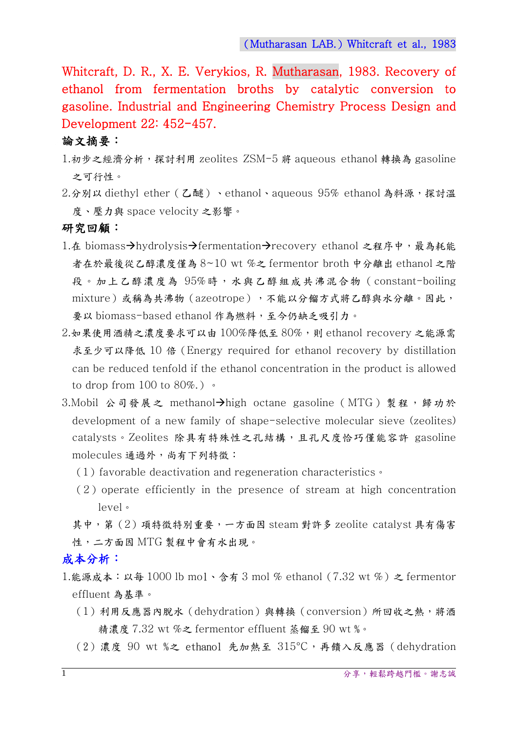Whitcraft, D. R., X. E. Verykios, R. Mutharasan, 1983. Recovery of ethanol from fermentation broths by catalytic conversion to gasoline. Industrial and Engineering Chemistry Process Design and Development 22: 452-457.

### 論文摘要:

- 1.初步之經濟分析,探討利用 zeolites ZSM-5 將 aqueous ethanol 轉換為 gasoline 之可行性。
- 2.分別以 diethyl ether (乙醚)、ethanol、aqueous 95% ethanol 為料源,探討溫 度、壓力與 space velocity 之影響。

#### 研究回顧:

- 1.在 biomass→hydrolysis→fermentation→recovery ethanol 之程序中,最為耗能 者在於最後從乙醇濃度僅為 8~10 wt %之 fermentor broth 中分離出 ethanol 之階 段。加上乙醇濃度為 95%時,水與乙醇組成共沸混合物(constant-boiling mixture)或稱為共沸物(azeotrope),不能以分餾方式將乙醇與水分離。因此, 要以 biomass-based ethanol 作為燃料,至今仍缺乏吸引力。
- $2.$ 如果使用酒精之濃度要求可以由  $100\%$ 降低至  $80\%$ , 則 ethanol recovery 之能源需 求至少可以降低 10 倍(Energy required for ethanol recovery by distillation can be reduced tenfold if the ethanol concentration in the product is allowed to drop from  $100$  to  $80\%$ .)  $\cdot$
- 3.Mobil 公司發展之 methanol->high octane gasoline (MTG) 製程,歸功於 development of a new family of shape-selective molecular sieve (zeolites) catalysts。Zeolites 除具有特殊性之孔結構,且孔尺度恰巧僅能容許 gasoline molecules 通過外,尚有下列特徵:
	- $(1)$  favorable deactivation and regeneration characteristics  $\cdot$
	- $(2)$  operate efficiently in the presence of stream at high concentration level。

其中,第(2)項特徵特別重要,一方面因 steam 對許多 zeolite catalyst 具有傷害 性,二方面因 MTG 製程中會有水出現。

## 成本分析:

- 1.能源成本: 以每 1000 lb mol、含有 3 mol % ethanol (7.32 wt %) 之 fermentor effluent 為基準。
	- (1)利用反應器內脫水(dehydration)與轉換(conversion)所回收之熱,將酒 精濃度 7.32 wt %之 fermentor effluent 蒸餾至 90 wt %。
	- (2)濃度 90 wt %之 ethanol 先加熱至 315°C,再饋入反應器(dehydration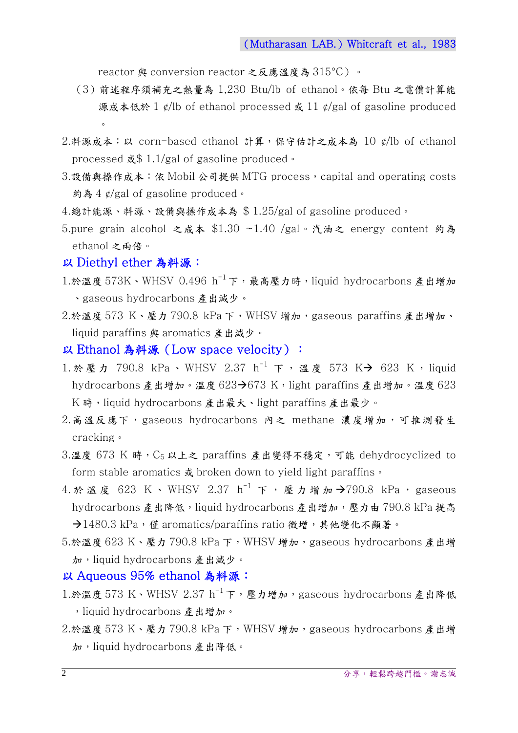reactor 與 conversion reactor 之反應溫度為 315°C)。

- (3)前述程序須補充之熱量為 1,230 Btu/lb of ethanol。依每 Btu 之電價計算能 源成本低於 1 ¢/lb of ethanol processed 或 11 ¢/gal of gasoline produced  $\circ$
- 2.料源成本:以 corn-based ethanol 計算,保守估計之成本為 10 ¢/lb of ethanol processed 或\$ 1.1/gal of gasoline produced。
- 3.設備與操作成本: 依 Mobil 公司提供 MTG process, capital and operating costs 約為 4 ¢/gal of gasoline produced。
- 4.總計能源、料源、設備與操作成本為 \$ 1.25/gal of gasoline produced。
- 5.pure grain alcohol 之成本 \$1.30 ~1.40 /gal。汽油之 energy content 約為 ethanol 之兩倍。

#### 以 Diethyl ether 為料源:

- 1.於溫度 573K、WHSV  $0.496$   $h^{-1}$ 下, 最高壓力時, liquid hydrocarbons 產出增加 、gaseous hydrocarbons 產出減少。
- 2.於溫度 573 K、壓力 790.8 kPa 下, WHSV 增加, gaseous paraffins 產出增加、 liquid paraffins 與 aromatics 產出減少。
- 以 Ethanol 為料源(Low space velocity):
- 1. 於壓力 790.8 kPa、WHSV 2.37 h<sup>-1</sup> 下, 溫度 573 K-> 623 K, liquid hydrocarbons 產出增加。溫度 623→673 K, light paraffins 產出增加。溫度 623 K 時,liquid hydrocarbons 產出最大、light paraffins 產出最少。
- 2.高溫反應下, gaseous hydrocarbons 內之 methane 濃度增加,可推測發生 cracking。
- 3.溫度 673 K 時,C5 以上之 paraffins 產出變得不穩定,可能 dehydrocyclized to form stable aromatics 或 broken down to yield light paraffins。
- 4. 於溫度 623 K、WHSV 2.37 h<sup>-1</sup> 下, 壓力增加 → 790.8 kPa, gaseous hydrocarbons 產出降低, liquid hydrocarbons 產出增加, 壓力由 790.8 kPa 提高 →1480.3 kPa,僅 aromatics/paraffins ratio 微增,其他變化不顯著。
- 5.於溫度 623 K、壓力 790.8 kPa 下,WHSV 增加,gaseous hydrocarbons 產出增 加,liquid hydrocarbons 產出減少。

### 以 Aqueous 95% ethanol 為料源:

- 1.於溫度 573 K、WHSV 2.37 h<sup>-1</sup>下,壓力增加,gaseous hydrocarbons 產出降低 , liquid hydrocarbons 產出增加。
- 2.於溫度 573 K、壓力 790.8 kPa 下, WHSV 增加, gaseous hydrocarbons 產出增 加,liquid hydrocarbons 產出降低。